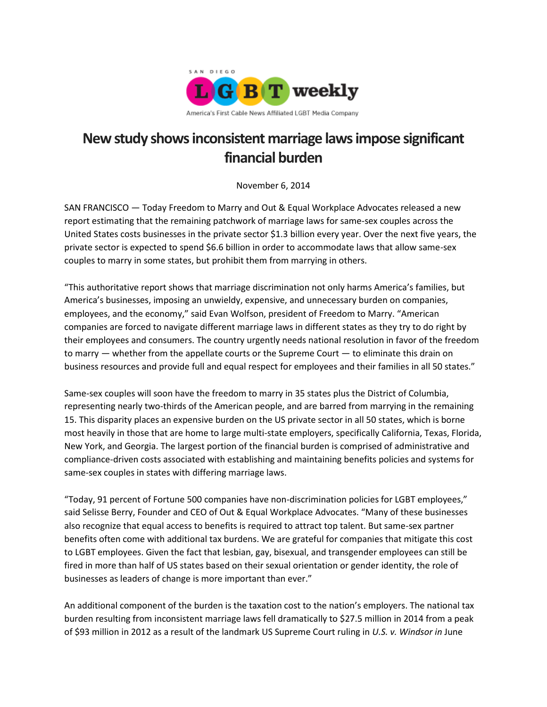

## **New study shows inconsistent marriage laws impose significant financial burden**

November 6, 2014

SAN FRANCISCO — Today Freedom to Marry and Out & Equal Workplace Advocates released a new report estimating that the remaining patchwork of marriage laws for same-sex couples across the United States costs businesses in the private sector \$1.3 billion every year. Over the next five years, the private sector is expected to spend \$6.6 billion in order to accommodate laws that allow same-sex couples to marry in some states, but prohibit them from marrying in others.

"This authoritative report shows that marriage discrimination not only harms America's families, but America's businesses, imposing an unwieldy, expensive, and unnecessary burden on companies, employees, and the economy," said Evan Wolfson, president of Freedom to Marry. "American companies are forced to navigate different marriage laws in different states as they try to do right by their employees and consumers. The country urgently needs national resolution in favor of the freedom to marry — whether from the appellate courts or the Supreme Court — to eliminate this drain on business resources and provide full and equal respect for employees and their families in all 50 states."

Same-sex couples will soon have the freedom to marry in 35 states plus the District of Columbia, representing nearly two-thirds of the American people, and are barred from marrying in the remaining 15. This disparity places an expensive burden on the US private sector in all 50 states, which is borne most heavily in those that are home to large multi-state employers, specifically California, Texas, Florida, New York, and Georgia. The largest portion of the financial burden is comprised of administrative and compliance-driven costs associated with establishing and maintaining benefits policies and systems for same-sex couples in states with differing marriage laws.

"Today, 91 percent of Fortune 500 companies have non-discrimination policies for LGBT employees," said Selisse Berry, Founder and CEO of Out & Equal Workplace Advocates. "Many of these businesses also recognize that equal access to benefits is required to attract top talent. But same-sex partner benefits often come with additional tax burdens. We are grateful for companies that mitigate this cost to LGBT employees. Given the fact that lesbian, gay, bisexual, and transgender employees can still be fired in more than half of US states based on their sexual orientation or gender identity, the role of businesses as leaders of change is more important than ever."

An additional component of the burden is the taxation cost to the nation's employers. The national tax burden resulting from inconsistent marriage laws fell dramatically to \$27.5 million in 2014 from a peak of \$93 million in 2012 as a result of the landmark US Supreme Court ruling in *U.S. v. Windsor in* June